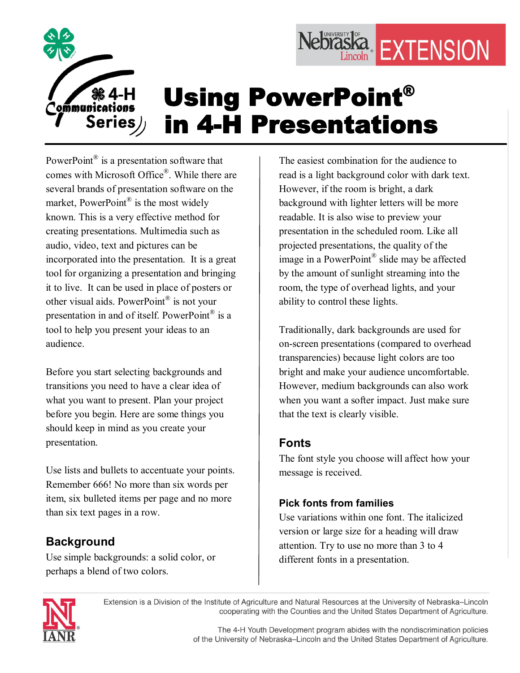

# Using PowerPoint® in 4-H Presentations

PowerPoint $^{\circledR}$  is a presentation software that comes with Microsoft Office® . While there are several brands of presentation software on the market, PowerPoint<sup>®</sup> is the most widely known. This is a very effective method for creating presentations. Multimedia such as audio, video, text and pictures can be incorporated into the presentation. It is a great tool for organizing a presentation and bringing it to live. It can be used in place of posters or other visual aids. PowerPoint<sup>®</sup> is not your presentation in and of itself. PowerPoint<sup>®</sup> is a tool to help you present your ideas to an audience.

Before you start selecting backgrounds and transitions you need to have a clear idea of what you want to present. Plan your project before you begin. Here are some things you should keep in mind as you create your presentation.

Use lists and bullets to accentuate your points. Remember 666! No more than six words per item, six bulleted items per page and no more than six text pages in a row.

# **Background**

Use simple backgrounds: a solid color, or perhaps a blend of two colors.

The easiest combination for the audience to read is a light background color with dark text. However, if the room is bright, a dark background with lighter letters will be more readable. It is also wise to preview your presentation in the scheduled room. Like all projected presentations, the quality of the image in a PowerPoint<sup>®</sup> slide may be affected by the amount of sunlight streaming into the room, the type of overhead lights, and your ability to control these lights.

Nebraska EXTENSION

Traditionally, dark backgrounds are used for on-screen presentations (compared to overhead transparencies) because light colors are too bright and make your audience uncomfortable. However, medium backgrounds can also work when you want a softer impact. Just make sure that the text is clearly visible.

## **Fonts**

The font style you choose will affect how your message is received.

## **Pick fonts from families**

Use variations within one font. The italicized version or large size for a heading will draw attention. Try to use no more than 3 to 4 different fonts in a presentation.



Extension is a Division of the Institute of Agriculture and Natural Resources at the University of Nebraska-Lincoln cooperating with the Counties and the United States Department of Agriculture.

> The 4-H Youth Development program abides with the nondiscrimination policies of the University of Nebraska-Lincoln and the United States Department of Agriculture.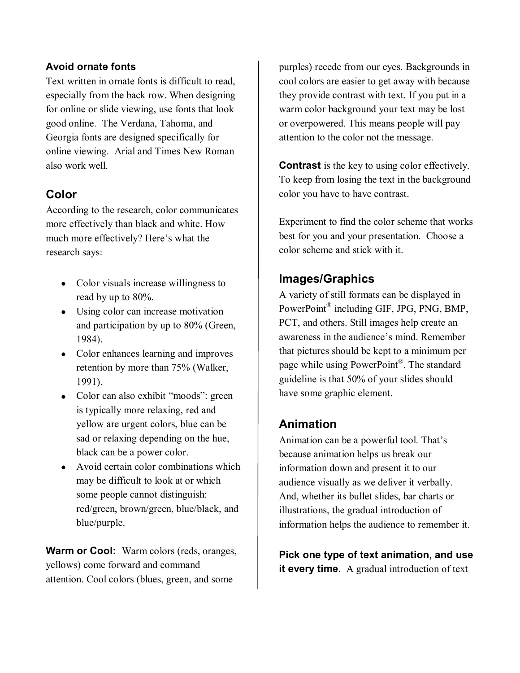#### **Avoid ornate fonts**

Text written in ornate fonts is difficult to read, especially from the back row. When designing for online or slide viewing, use fonts that look good online. The Verdana, Tahoma, and Georgia fonts are designed specifically for online viewing. Arial and Times New Roman also work well.

## **Color**

According to the research, color communicates more effectively than black and white. How much more effectively? Here's what the research says:

- Color visuals increase willingness to read by up to 80%.
- Using color can increase motivation and participation by up to 80% (Green, 1984).
- Color enhances learning and improves retention by more than 75% (Walker, 1991).
- Color can also exhibit "moods": green is typically more relaxing, red and yellow are urgent colors, blue can be sad or relaxing depending on the hue, black can be a power color.
- Avoid certain color combinations which may be difficult to look at or which some people cannot distinguish: red/green, brown/green, blue/black, and blue/purple.

**Warm or Cool:** Warm colors (reds, oranges, yellows) come forward and command attention. Cool colors (blues, green, and some

purples) recede from our eyes. Backgrounds in cool colors are easier to get away with because they provide contrast with text. If you put in a warm color background your text may be lost or overpowered. This means people will pay attention to the color not the message.

**Contrast** is the key to using color effectively. To keep from losing the text in the background color you have to have contrast.

Experiment to find the color scheme that works best for you and your presentation. Choose a color scheme and stick with it.

#### **Images/Graphics**

A variety of still formats can be displayed in PowerPoint<sup>®</sup> including GIF, JPG, PNG, BMP, PCT, and others. Still images help create an awareness in the audience's mind. Remember that pictures should be kept to a minimum per page while using PowerPoint<sup>®</sup>. The standard guideline is that 50% of your slides should have some graphic element.

## **Animation**

Animation can be a powerful tool. That's because animation helps us break our information down and present it to our audience visually as we deliver it verbally. And, whether its bullet slides, bar charts or illustrations, the gradual introduction of information helps the audience to remember it.

**Pick one type of text animation, and use it every time.** A gradual introduction of text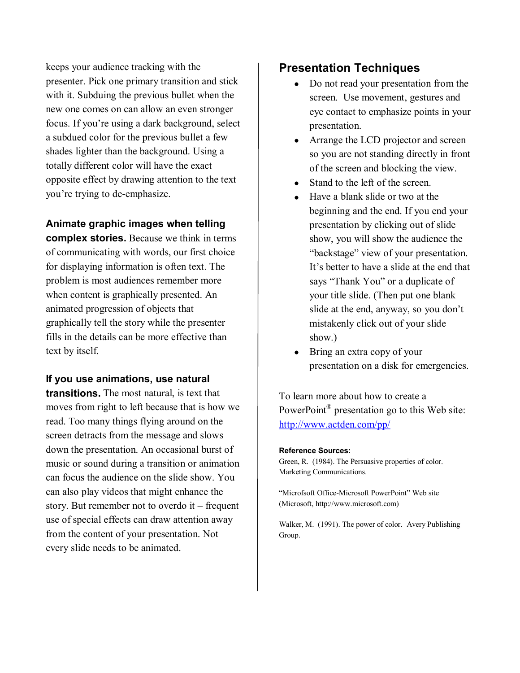keeps your audience tracking with the presenter. Pick one primary transition and stick with it. Subduing the previous bullet when the new one comes on can allow an even stronger focus. If you're using a dark background, select a subdued color for the previous bullet a few shades lighter than the background. Using a totally different color will have the exact opposite effect by drawing attention to the text you're trying to de-emphasize.

#### **Animate graphic images when telling**

**complex stories.** Because we think in terms of communicating with words, our first choice for displaying information is often text. The problem is most audiences remember more when content is graphically presented. An animated progression of objects that graphically tell the story while the presenter fills in the details can be more effective than text by itself.

#### **If you use animations, use natural**

**transitions.** The most natural, is text that moves from right to left because that is how we read. Too many things flying around on the screen detracts from the message and slows down the presentation. An occasional burst of music or sound during a transition or animation can focus the audience on the slide show. You can also play videos that might enhance the story. But remember not to overdo it – frequent use of special effects can draw attention away from the content of your presentation. Not every slide needs to be animated.

#### **Presentation Techniques**

- · Do not read your presentation from the screen. Use movement, gestures and eye contact to emphasize points in your presentation.
- · Arrange the LCD projector and screen so you are not standing directly in front of the screen and blocking the view.
- Stand to the left of the screen.
- Have a blank slide or two at the beginning and the end. If you end your presentation by clicking out of slide show, you will show the audience the "backstage" view of your presentation. It's better to have a slide at the end that says "Thank You" or a duplicate of your title slide. (Then put one blank slide at the end, anyway, so you don't mistakenly click out of your slide show.)
- Bring an extra copy of your presentation on a disk for emergencies.

To learn more about how to create a PowerPoint<sup>®</sup> presentation go to this Web site: <http://www.actden.com/pp/>

#### **Reference Sources:**

Green, R. (1984). The Persuasive properties of color. Marketing Communications.

"Microfsoft Office-Microsoft PowerPoint" Web site (Microsoft, http://www.microsoft.com)

Walker, M. (1991). The power of color. Avery Publishing Group.